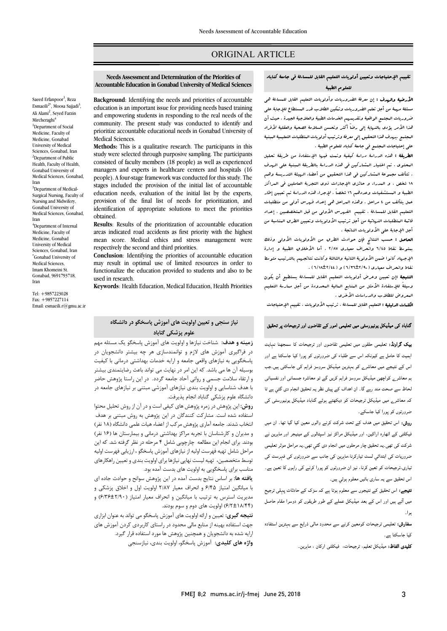## ORIGINAL ARTICLE

#### تقییم الإحتیاجات وتعیین أولویات التعلیم القابل للمساءلۀ فی جامعۀ کناباد للعلوم الطبیۀ

Ī 

ا**لأرضية والهدف :** إن معرفۀ الضروریات وأولویات التعلیم القابل للمساءلۀ هی<br>. سسته مرتبه من اس علیم الصروریات وتنتین الصرب تدر المستعل للإنتهاء علی<br>ضروریات البجتیع الواقعیۀ وتقدیمهم الخدمات الطبیۀ والعلاجیۀ الجیدة . حیث أن ه و سعید المرد بالناسخ التال التال التال التال التال التال التال التال التال التال التالية لأفراد<br>غذا الأمر يؤدى بالنهايۀ إلى رضاً أكثر وتحسن السلامۀ الصحيۀ والعقليۀ لأفراد المجتمع .یهدف هذا التحقیق إلى معرفۀ وترتیب أولویات المتطلبات التعلیمیۀ المبنیۀ على إحتیاجات المجتمع فی جامعۀ کناباد للعلوم الطبیۀ . مسئلۀ مهمۀ من أجل تعلم الضروریات وتمکین الطلاب قدر المستطاع للإجابۀ على

 الطریقۀ : هذه الدراسۀ دراسۀ کیفیۀ وتمت فیها الإستفادة من طریقۀ تحلیل المحتوى ، تم اختیار المشارکین فی هذه الدراسۀ بالطریقۀ العبنیۀ على الهدف<br>. . شانت تجهونه البسار تين فی عدا التجهو*ن من العماء الربيه التدريسه و*تقم<br>۱۸ شخص ، و البدراء و حائزي الإجازات ذوي التجربۀ العاملین فی البراکز الطبیۀ و المستشفیات وعددهم 16 شخصاً . لإجراء هذه الدراسۀ تم تعیین إطار عمل یتألف من 4 مراحل . وهذه المراحل هی إعداد فهرس أولی من متطلبات التعلیم القابل للمساءلۀ ، تقییم الفهرس الأولی من قبل المتخصصین ، إعداد قائمۀ المتطلبات النهائیۀ من أجل ترتیب الأولویات وتعیین الطرق المناسبۀ من أجل الإجابۀ على الأولویات الناتجۀ . . تتألف مجموعۀ المشارکین فی هذا التحقیق من أعضاء الهیئۀ التدریسۀ وهم

العاصل : حسب النتائج فإن حوادث الطرق من الأولویات الأولى وذلك<br>- الفات الفات الأولى وزير الأولى وزيرات و في الأولى و الأولى وزير .<br>الإجهاد کانوا ضمن الأولویۀ الثانیۀ والثالثۀ وکانت نتائجههم بالترتیب متوسط نقاط وانحراف معیاري (6/36±2/90) و (6/18±2/44) . بمتوسط نقاط 6/45 وانحراف معیاري 2/87 ، أما الأخلاق الطبیۀ و إدارة

 النتیجۀ :إن تعیین وعرض أولویات التعلیم القابل للمساءلۀ یستطیع أن یکون وسیلۀً للإستفادة الأمثل من المنابع المالیۀ المحدودة من أجل ممارسۀ التعلیم المعروض للطلاب والدراسات الأخرى .<br>ر

**لکلمات الدلیلیۀ :** التعلیم القابل للمساءلۀ ، ترتیب الأولویات ، تقییم الإحتیاجات<br>.

# گناباد کی میڈیکل یونیورسٹی میں تعلیمی امور کے تقاضوں اور ترجیحات پر تحقیق<br>۔

**یک گراونڈ:** تعلیمی حلقوں میں تعلیمی تقاضوں اور ترجیحات کا سمجھنا نہایت .<br>اہمیت کا حامل ہے کیونکہ اس سے طلباء کی ضرورتوں کو پورا کیا جاسکتا ہے اور ۔<br>اس کے نتیجے میں معاشر<sub>ے</sub> کو بہترین میڈیکل سروسز فراہم کی جاسکتی ہیں۔جب ۔<br>ہم معاشرے کواچھی میڈیکل سروسز فراہم کریں گے تو معاشرہ جسمانی اور نفسیاتی ۔<br>لحاظ سے صحت مند رہے گا۔ ان اھداف کے پیش نظر یہ تحقیق انجام دی گئي ہے تا ۔<br>کہ معاشرے میں میڈیکل ترجیحات کو دیکھتے ہوئے گناباد میڈیکل یونیورسٹی کی ۔<br>ضرورتوں کو پورا کیا جاسکے۔

 روش: اس ف واں ۔ ان صف ہے ہیں ہے ہیں ہے ۔<br>لیکلٹی کے اٹھارہ اراکین، اور میڈیکل مراکز نیز اسپتالوں کے مینیجر اور ماہرین نے ۔ ر ں ام دی ۔ ا ا رہا ہے اور اس کے اس کے ملتا ہے اور اس کے دوران کے بھی کہ اس کی مست کی۔<br>ضروریات کی ابتدائی لسٹ تیارکرنا،ماہرین کی جانب سے ضرورتوں کی فہرست کی۔ نیاری،ترجیحات کو تعین کرنا، نیز ان ضرورتوں کو پورا کرنے کی راہوں کا تعین ہے۔<br>۔ اس تحقیق سے یہ ساری باتیں معلوم ہوئي ہیں۔<br>.

 : اس ں م ک دت میں آتے ہیں اور اس کے بعد میڈیکل عملے کے طور طریقوں کو دوسرا مقام حاصل<br>۔ بوا۔

**سفارش:** تعلیمی ترجیحات کومعین کرنے سے محدود مالی ذرایع سے بہترین استفادہ<br>۔ ۔<br>کیا جاسکتا ہے۔

**کلیدی الفاظ:** میڈیکل تعلیم، ترجیحات، فیکلٹی ارکان ، ماہرین<sub>-</sub><br>.

 **Accountable Education in Gonabad University of Medical Sciences Needs Assessment and Determination of the Priorities of** 

Ī 

 **Background**: Identifying the needs and priorities of accountable and empowering students in responding to the real needs of the community. The present study was conducted to identify and prioritize accountable educational needs in Gonabad University of<br>Medical Sciences education is an important issue for providing needs based training Medical Sciences.

 **Methods:** This is a qualitative research. The participants in this study were selected through purposive sampling. The participants exhabited of literary intellibers (10 people) as well as experienced<br>managers and experts in healthcare centers and hospitals (16 people). A four-stage framework was conducted for this study. The education needs, evaluation of the initial list by the experts, provision of the final list of needs for prioritization, and identification of appropriate solutions to meet the priorities consisted of faculty members (18 people) as well as experienced stages included the provision of the initial list of accountable obtained.

 **Results**: Results of the prioritization of accountable education areas indicated road accidents as first priority with the highest mean score. Medical ethics and stress management were<br>respectively the second and third priorities respectively the second and third priorities.

 **Conclusion**: Identifying the priorities of accountable education may result in optimal use of limited resources in order to functionalize the education provided to students and also to be used in research.

**Keywords**: Health Education, Medical Education, Health Priorities

Ali Alami<sup>2</sup>, Seyed Farzin Mircheraghi<sup>4</sup> <sup>1</sup>Department of Social Medicine, Faculty of Medicine, Gonabad University of Medical Sciences, Gonabad, Iran <sup>2</sup>Department of Public Health, Faculty of Health, Gonabad University of Medical Sciences, Gonabad, Iran <sup>3</sup>Department of Medical-Surgical Nursing, Faculty of Nursing and Midwifery, Gonabad University of Medical Sciences, Gonabad, Iran <sup>4</sup>Department of Internal Medicine, Faculty of Medicine, Gonabad University of Medical Sciences, Gonabad, Iran \* Gonabad University of Medical Sciences, Imam Khomeini St.

Saeed Erfanpoor<sup>1</sup>, Reza Esmaeili<sup>2\*</sup>, Moosa Sajjadi<sup>3</sup>,

Tel: +9857223028 Fax: +9857227114 Email: esmaeili.r@gmu.ac.ir

Gonabad, 9691793718,

Iran

# **نیاز سنجی و تعیین اولویت هاي آموزش پاسخگو در دانشگاه علوم پزشکی گناباد**

 **زمینه و هدف:** شناخت نیازها و اولویت هاي آموزش پاسخگو یک مسئله مهم در فراگیري آموزش هاي لازم و توانمندسازي هر چه بیشتر دانشجویان در پاسخگویی به نیازهای واقعی جامعه و ارایه خدمات بهداشتی درمانی با کیفیت<br>با بینی به بین بوسینه ان تم می بست. تم این امر در تهایت می تواند باعث رصایتمندی بیستر<br>و ارتقاء سلامت جسمی و روانی آحاد جامعه گردد. در این راستا پژوهش حاضر با هدف شناسایی و اولویت بندي نیازهاي آموزشی مبتنی بر نیازهاي جامعه در دانشگاه علوم پزشکی گناباد انجام پذیرفت. بوسیله آن ها می باشد. که این امر در نهایت می تواند باعث رضایتمندي بیشتر

 **روش:** این پژوهش در زمره پژوهش هاي کیفی است و در آن از روش تحلیل محتوا استفاده شده است. مشارکت کنندگان در این پژوهش به روش مبتنی بر هدف مدت سدید جسد امرزی پروسش مرکب از استاد میت عسی ماسنده (۱۰۰ نفر)<br>و مدیران و کارشناسان با تجربه مراکز بهداشتی درمانی و بیمارستان ها (۱۶ نفر) بودند. براي انجام این مطالعه چارچوبی شامل 4 مرحله در نظر گرفته شد. که این مراحل شامل تهیه فهرست اولیه از نیازهاي آموزش پاسخگو ، ارزیابی فهرست اولیه توسط متخصصین، تهیه لیست نهایی نیازها براي اولویت بندي و تعیین راهکارهاي مناسب برای پاسخگویی به اولویت های بدست آمده بود.<br>منبسمه انتخاب شدند. جامعه آماري پژوهش مرکب از اعضاءهیات علمی دانشگاه (18 نفر)

با میانگین امتیاز شامل شایع بدست است در این پروسس سوانع و حوالت ابتدای<br>با میانگین امتیاز ۶/۴۵ و انحراف معیار ۲/۸۷ اولویت اول و اخلاق پزشکی و مدیریت استرس به ترتیب با میانگین و انحراف معیار امتیاز (6/36±2/90) و (6/2±18/44) اولویت هاي دوم و سوم بودند. **یافته ها:** بر اساس نتایج بدست آمده در این پژوهش سوانح و حوادث جاده اي

 **نتیجه گیري:** تعیین و ارائه اولویت هاي آموزش پاسخگو می تواند به عنوان ابزاري جهت استفاده بهینه از منابع مالی محدود در راستاي کاربردي کردن آموزش هاي Ĩ **واژه هاي کلیدي:** آموزش پاسخگو، اولویت بندي، نیازسنجی ارایه شده به دانشجویان و همچنین پژوهش ها مورد استفاده قرار گیرد.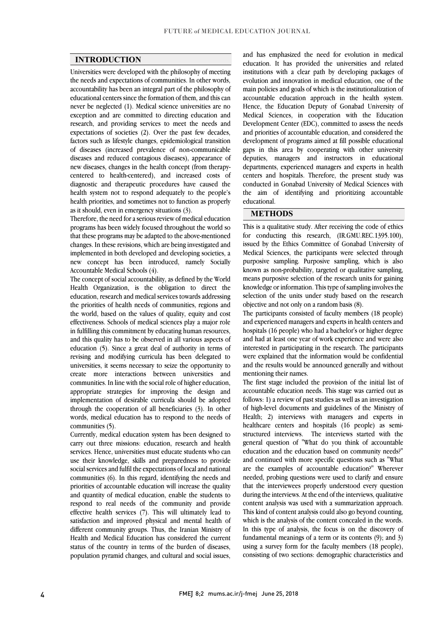#### **INTRODUCTION**

 Universities were developed with the philosophy of meeting the needs and expectations of communities. In other words, accountability has been an integral part of the philosophy of never be neglected (1). Medical science universities are no exception and are committed to directing education and research, and providing services to meet the needs and expectations of societies (2). Over the past few decades, of diseases (increased prevalence of non-communicable diseases and reduced contagious diseases), appearance of new diseases, changes in the health concept (from therapy- centered to health-centered), and increased costs of health system not to respond adequately to the people's health priorities, and sometimes not to function as properly educational centers since the formation of them, and this can factors such as lifestyle changes, epidemiological transition diagnostic and therapeutic procedures have caused the as it should, even in emergency situations (3).

Incretore, the need for a serious review of medical education<br>programs has been widely focused throughout the world so that these programs may be adapted to the above-mentioned changes. In these revisions, which are being investigated and implemented in both developed and developing societies, a new concept has been introduced, namely Socially Therefore, the need for a serious review of medical education Accountable Medical Schools (4).

The concept of social accountability, as defined by the World Health Organization, is the obligation to direct the education, research and medical services towards addressing the world, based on the values of quality, equity and cost effectiveness. Schools of medical sciences play a major role in fulfilling this commitment by educating human resources, and this quality has to be observed in all various aspects of revising and modifying curricula has been delegated to universities, it seems necessary to seize the opportunity to create more interactions between universities and communities. In line with the social role of higher education, implementation of desirable curricula should be adopted through the cooperation of all beneficiaries (3). In other words, medical education has to respond to the needs of the priorities of health needs of communities, regions and education (5). Since a great deal of authority in terms of appropriate strategies for improving the design and communities (5).

communiues (ɔ).<br>Currently, medical education system has been designed to carry out three missions: education, research and health services. Hence, universities must educate students who can use their knowledge, skills and preparedness to provide social services and fulfil the expectations of local and national  $\sim$  priorities of accountable education will increase the quality and quantity of medical education, enable the students to respond to real needs of the community and provide enective fiearth services (7). This will utilitately fead to<br>satisfaction and improved physical and mental health of different community groups. Thus, the Iranian Ministry of Health and Medical Education has considered the current status of the country in terms of the burden of diseases, population pyramid changes, and cultural and social issues, communities (6). In this regard, identifying the needs and effective health services (7). This will ultimately lead to

 education. It has provided the universities and related institutions with a clear path by developing packages of evolution and innovation in medical education, one of the main policies and goals of which is the institutionalization of Hence, the Education Deputy of Gonabad University of Medical Sciences, in cooperation with the Education Development Center (EDC), committed to assess the needs and priorities of accountable education, and considered the gaps in this area by cooperating with other university deputies, managers and instructors in educational departments, experienced managers and experts in health centers and hospitals. Therefore, the present study was the aim of identifying and prioritizing accountable and has emphasized the need for evolution in medical accountable education approach in the health system. development of programs aimed at fill possible educational conducted in Gonabad University of Medical Sciences with educational.

#### **METHODS**

 This is a qualitative study. After receiving the code of ethics for conducting this research, (IR.GMU.REC.1395.100), issued by the Ethics Committee of Gonabad University of Medical Sciences, the participants were selected through purposive sampling. Turposive sampling, which is also<br>known as non-probability, targeted or qualitative sampling, means purposive selection of the research units for gaining knowledge or information. This type of sampling involves the selection of the units under study based on the research purposive sampling. Purposive sampling, which is also objective and not only on a random basis (8).

 The participants consisted of faculty members (18 people) and experienced managers and experts in health centers and hospitals (16 people) who had a bachelor's or higher degree and had at least one year of work experience and were also merected in paradepaing in the recent in the paradepairs<br>were explained that the information would be confidential and the results would be announced generally and without interested in participating in the research. The participants mentioning their names.

 accountable education needs. This stage was carried out as follows: 1) a review of past studies as well as an investigation of high-level documents and guidelines of the Ministry of Health; 2) interviews with managers and experts in structured interviews. The interviews started with the general question of "What do you think of accountable education and the education based on community needs?" and continued with more specific questions such as "What needed, probing questions were used to clarify and ensure that the interviewees properly understood every question during the interviews. At the end of the interviews, qualitative content analysis was used with a summarization approach. which is the analysis of the content concealed in the words. In this type of analysis, the focus is on the discovery of fundamental meanings of a term or its contents (9); and 3) using a survey form for the faculty members (18 people), consisting of two sections: demographic characteristics and The first stage included the provision of the initial list of healthcare centers and hospitals (16 people) as semiare the examples of accountable education?" Wherever This kind of content analysis could also go beyond counting,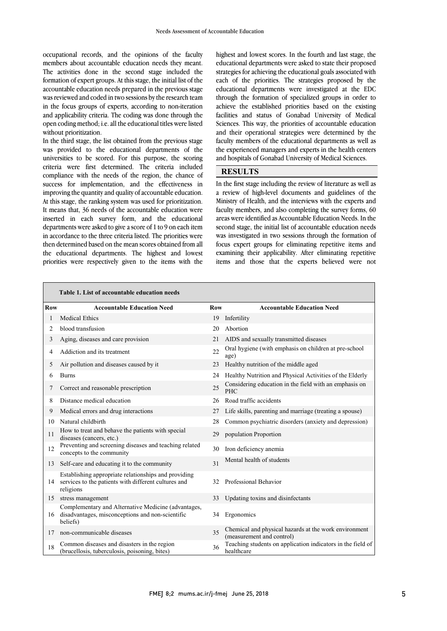members about accountable education needs they meant. The activities done in the second stage included the formation of expert groups. At this stage, the initial list of the accountable education needs prepared in the previous stage was reviewed and coded in two sessions by the research team<br>in the focus groups of experts, according to non-iteration and applicability criteria. The coding was done through the open coding method; i.e. all the educational titles were listed occupational records, and the opinions of the faculty was reviewed and coded in two sessions by the research team without prioritization.

without prioritization.<br>In the third stage, the list obtained from the previous stage m the time stage, the list obtained from the previous stage<br>was provided to the educational departments of the universities to be scored. For this purpose, the scoring criteria were first determined. The criteria included compliance with the needs of the region, the chance of improving the quantity and quality of accountable education. At this stage, the ranking system was used for prioritization. It means that, 36 needs of the accountable education were inserted in each survey form, and the educational<br>departments were asked to give a score of 1 to 9 on each item in accordance to the three criteria listed. The priorities were then determined based on the mean scores obtained from all the educational departments. The highest and lowest priorities were respectively given to the items with the success for implementation, and the effectiveness in inserted in each survey form, and the educational

 educational departments were asked to state their proposed strategies for achieving the educational goals associated with each of the priorities. The strategies proposed by the educational departments were investigated at the EDC facilities and status of Gonabad University of Medical Sciences. This way, the priorities of accountable education and their operational strategies were determined by the the experienced managers and experts in the health centers highest and lowest scores. In the fourth and last stage, the through the formation of specialized groups in order to achieve the established priorities based on the existing faculty members of the educational departments as well as and hospitals of Gonabad University of Medical Sciences.

#### **RESULTS**

 In the first stage including the review of literature as well as a review of high-level documents and guidelines of the Ministry of Health, and the interviews with the experts and faculty members, and also completing the survey forms, 60 second stage, the initial list of accountable education needs was investigated in two sessions through the formation of focus expert groups for eliminating repetitive items and examining their applicability. After eliminating repetitive items and those that the experts believed were not areas were identified as Accountable Education Needs. In the

ֺ

|            | Table 1. List of accountable education needs                                                                              |            |                                                                                    |
|------------|---------------------------------------------------------------------------------------------------------------------------|------------|------------------------------------------------------------------------------------|
| <b>Row</b> | <b>Accountable Education Need</b>                                                                                         | <b>Row</b> | <b>Accountable Education Need</b>                                                  |
| 1          | <b>Medical Ethics</b>                                                                                                     | 19         | Infertility                                                                        |
| 2          | blood transfusion                                                                                                         | 20         | Abortion                                                                           |
| 3          | Aging, diseases and care provision                                                                                        | 21         | AIDS and sexually transmitted diseases                                             |
| 4          | Addiction and its treatment                                                                                               | 22         | Oral hygiene (with emphasis on children at pre-school<br>age)                      |
| 5          | Air pollution and diseases caused by it                                                                                   | 23         | Healthy nutrition of the middle aged                                               |
| 6          | <b>Burns</b>                                                                                                              | 24         | Healthy Nutrition and Physical Activities of the Elderly                           |
| 7          | Correct and reasonable prescription                                                                                       | 25         | Considering education in the field with an emphasis on<br>PHC                      |
| 8          | Distance medical education                                                                                                | 26         | Road traffic accidents                                                             |
| 9          | Medical errors and drug interactions                                                                                      | 27         | Life skills, parenting and marriage (treating a spouse)                            |
| 10         | Natural childbirth                                                                                                        | 28         | Common psychiatric disorders (anxiety and depression)                              |
| 11         | How to treat and behave the patients with special<br>diseases (cancers, etc.)                                             | 29         | population Proportion                                                              |
| 12         | Preventing and screening diseases and teaching related<br>concepts to the community                                       | 30         | Iron deficiency anemia                                                             |
| 13         | Self-care and educating it to the community                                                                               | 31         | Mental health of students                                                          |
| 14         | Establishing appropriate relationships and providing<br>services to the patients with different cultures and<br>religions | 32         | Professional Behavior                                                              |
| 15         | stress management                                                                                                         | 33         | Updating toxins and disinfectants                                                  |
| 16         | Complementary and Alternative Medicine (advantages,<br>disadvantages, misconceptions and non-scientific<br>beliefs)       | 34         | Ergonomics                                                                         |
| 17         | non-communicable diseases                                                                                                 | 35         | Chemical and physical hazards at the work environment<br>(measurement and control) |
| 18         | Common diseases and disasters in the region<br>(brucellosis, tuberculosis, poisoning, bites)                              | 36         | Teaching students on application indicators in the field of<br>healthcare          |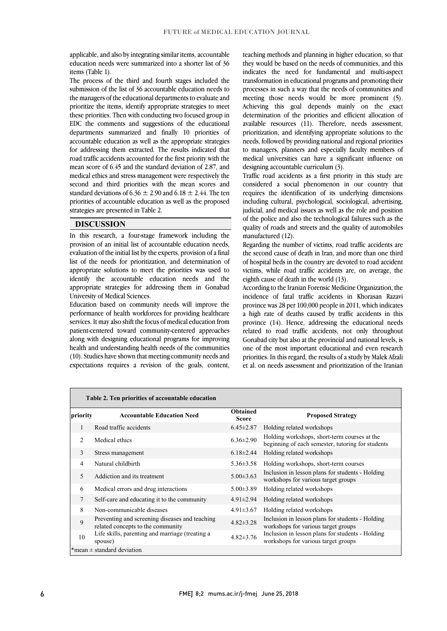appiicable, and also by integrating similar fiems, accountable<br>education needs were summarized into a shorter list of 36 applicable, and also by integrating similar items, accountable items (Table 1).

 The process of the third and fourth stages included the submission of the list of 36 accountable education needs to prioritize the items, identify appropriate strategies to meet these priorities. Then with conducting two focused group in EDC the comments and suggestions of the educational departments summarized and finally 10 priorities of accountant cute atom as wen as the appropriate strategies<br>for addressing them extracted. The results indicated that road traffic accidents accounted for the first priority with the mean score of 6.45 and the standard deviation of 2.87, and medical ethics and stress management were respectively the standard deviations of  $6.36 \pm 2.90$  and  $6.18 \pm 2.44$ . The ten priorities of accountable education as well as the proposed the managers of the educational departments to evaluate and accountable education as well as the appropriate strategies second and third priorities with the mean scores and strategies are presented in Table 2.

#### **DISCUSSION**

 In this research, a four-stage framework including the provision of an initial list of accountable education needs, evaluation of the initial list by the experts, provision of a final appropriate solutions to meet the priorities was used to identify the accountable education needs and the appropriate strategies for addressing them in Gonabad list of the needs for prioritization, and determination of University of Medical Sciences.

University of Medical Sciences.<br>Education based on community needs will improve the performance of health workforces for providing healthcare services. It may also shift the focus of medical education from patient-centered toward community-centered approaches along with designing educational programs for improving (10). Studies have shown that meeting community needs and expectations requires a revision of the goals, content, health and understanding health needs of the communities

teaching methods and planning in higher education, so that<br>they would be based on the needs of communities, and this indicates the need for fundamental and multi-aspect transformation in educational programs and promoting their processes in such a way that the needs of communities and Achieving this goal depends mainly on the exact determination of the priorities and efficient allocation of available resources (11). Therefore, needs assessment, prioritization, and identifying appropriate solutions to the to managers, planners and especially faculty members of medical universities can have a significant influence on teaching methods and planning in higher education, so that meeting those needs would be more prominent (5). needs, followed by providing national and regional priorities designing accountable curriculum (3).

 Traffic road accidents as a first priority in this study are requires the identification of its underlying dimensions including cultural, psychological, sociological, advertising, judicial, and medical issues as well as the role and position  $\epsilon$ quality of roads and streets and the quality of automobiles<br>manufactured (12) considered a social phenomenon in our country that of the police and also the technological failures such as the manufactured (12).

 Regarding the number of victims, road traffic accidents are the second cause of death in Iran, and more than one third of hospital beds in the country are devoted to road accident victims, while road traffic accidents are, on average, the eighth cause of death in the world (13).

 According to the Iranian Forensic Medicine Organization, the incidence of fatal traffic accidents in Khorasan Razavi province was 20 per 100,000 people in 2011, which muicates<br>a high rate of deaths caused by traffic accidents in this province (14). Hence, addressing the educational needs related to road traffic accidents, not only throughout Gonabad city but also at the provincial and national levels, is priorities. In this regard, the results of a study by Malek Afzali et al. on needs assessment and prioritization of the Iranian province was 28 per 100,000 people in 2011, which indicates one of the most important educational and even research

|                                | Table 2. Ten priorities of accountable education                                    |                                 |                                                                                                   |  |  |
|--------------------------------|-------------------------------------------------------------------------------------|---------------------------------|---------------------------------------------------------------------------------------------------|--|--|
| priority                       | <b>Accountable Education Need</b>                                                   | <b>Obtained</b><br><b>Score</b> | <b>Proposed Strategy</b>                                                                          |  |  |
|                                | Road traffic accidents                                                              | $6.45 \pm 2.87$                 | Holding related workshops                                                                         |  |  |
| $\mathfrak{D}$                 | Medical ethics                                                                      | $6.36 \pm 2.90$                 | Holding workshops, short-term courses at the<br>beginning of each semester, tutoring for students |  |  |
| 3                              | Stress management                                                                   | $6.18\pm2.44$                   | Holding related workshops                                                                         |  |  |
| 4                              | Natural childbirth                                                                  | $5.36 \pm 3.58$                 | Holding workshops, short-term courses                                                             |  |  |
| 5                              | Addiction and its treatment                                                         | $5.00 \pm 3.63$                 | Inclusion in lesson plans for students - Holding<br>workshops for various target groups           |  |  |
| 6                              | Medical errors and drug interactions                                                | $5.00 \pm 3.89$                 | Holding related workshops                                                                         |  |  |
| 7                              | Self-care and educating it to the community                                         | $4.91 \pm 2.94$                 | Holding related workshops                                                                         |  |  |
| 8                              | Non-communicable diseases                                                           | $4.91 \pm 3.67$                 | Holding related workshops                                                                         |  |  |
| 9                              | Preventing and screening diseases and teaching<br>related concepts to the community | $4.82 \pm 3.28$                 | Inclusion in lesson plans for students - Holding<br>workshops for various target groups           |  |  |
| 10                             | Life skills, parenting and marriage (treating a<br>spouse)                          | $4.82 \pm 3.76$                 | Inclusion in lesson plans for students - Holding<br>workshops for various target groups           |  |  |
| *mean $\pm$ standard deviation |                                                                                     |                                 |                                                                                                   |  |  |